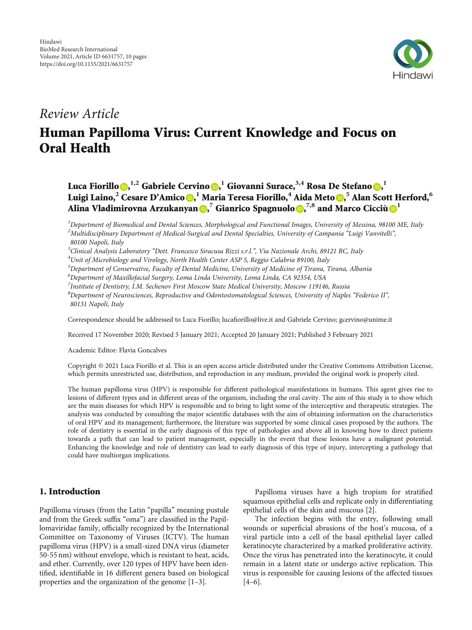

# Review Article

# Human Papilloma Virus: Current Knowledge and Focus on Oral Health

Luca Fiorillo $\mathbf{0},^{1,2}$  $\mathbf{0},^{1,2}$  $\mathbf{0},^{1,2}$  Gabriele Cervino $\mathbf{0},^{1}$  Giovanni Surace, $^{3,4}$  Rosa De Stefano $\mathbf{0},^{1}$ Luigi Laino,<sup>2</sup> Cesare D'Amico <mark>D</mark>, <sup>1</sup> Maria Teresa Fiorillo, $^4$  Aida Meto D,  $^5$  Alan Scott Herford,  $^6$ Alina Vladimirovna Arzukanyan **D,<sup>7</sup> Gianrico Spagnuolo D,<sup>7,8</sup> and Marco Cicciù D**<sup>[1](https://orcid.org/0000-0001-7058-4126)</sup>

<sup>1</sup>Department of Biomedical and Dental Sciences, Morphological and Functional Images, University of Messina, 98100 ME, Italy  $^2$ Multidisciplinary Department of Medical-Surgical and Dental Specialties, University of Campania "Luigi Vanvitelli", 80100 Napoli, Italy

<sup>3</sup>Clinical Analysis Laboratory "Dott. Francesco Siracusa Rizzi s.r.l.", Via Nazionale Archi, 89121 RC, Italy<br><sup>4</sup>Unit of Microbiology and Virology, North Health Center ASP 5, Reggio Calabria 89100, Italy

Unit of Microbiology and Virology, North Health Center ASP 5, Reggio Calabria 89100, Italy

5 Department of Conservative, Faculty of Dental Medicine, University of Medicine of Tirana, Tirana, Albania

6 Department of Maxillofacial Surgery, Loma Linda University, Loma Linda, CA 92354, USA

<sup>7</sup>Institute of Dentistry, I.M. Sechenov First Moscow State Medical University, Moscow 119146, Russia

8 Department of Neurosciences, Reproductive and Odontostomatological Sciences, University of Naples "Federico II", 80131 Napoli, Italy

Correspondence should be addressed to Luca Fiorillo; lucafiorillo@live.it and Gabriele Cervino; gcervino@unime.it

Received 17 November 2020; Revised 5 January 2021; Accepted 20 January 2021; Published 3 February 2021

Academic Editor: Flavia Goncalves

Copyright © 2021 Luca Fiorillo et al. This is an open access article distributed under the [Creative Commons Attribution License](https://creativecommons.org/licenses/by/4.0/), which permits unrestricted use, distribution, and reproduction in any medium, provided the original work is properly cited.

The human papilloma virus (HPV) is responsible for different pathological manifestations in humans. This agent gives rise to lesions of different types and in different areas of the organism, including the oral cavity. The aim of this study is to show which are the main diseases for which HPV is responsible and to bring to light some of the interceptive and therapeutic strategies. The analysis was conducted by consulting the major scientific databases with the aim of obtaining information on the characteristics of oral HPV and its management; furthermore, the literature was supported by some clinical cases proposed by the authors. The role of dentistry is essential in the early diagnosis of this type of pathologies and above all in knowing how to direct patients towards a path that can lead to patient management, especially in the event that these lesions have a malignant potential. Enhancing the knowledge and role of dentistry can lead to early diagnosis of this type of injury, intercepting a pathology that could have multiorgan implications.

# 1. Introduction

Papilloma viruses (from the Latin "papilla" meaning pustule and from the Greek suffix "oma") are classified in the Papillomaviridae family, officially recognized by the International Committee on Taxonomy of Viruses (ICTV). The human papilloma virus (HPV) is a small-sized DNA virus (diameter 50-55 nm) without envelope, which is resistant to heat, acids, and ether. Currently, over 120 types of HPV have been identified, identifiable in 16 different genera based on biological properties and the organization of the genome [\[1](#page-7-0)–[3](#page-7-0)].

Papilloma viruses have a high tropism for stratified squamous epithelial cells and replicate only in differentiating epithelial cells of the skin and mucous [\[2](#page-7-0)].

The infection begins with the entry, following small wounds or superficial abrasions of the host's mucosa, of a viral particle into a cell of the basal epithelial layer called keratinocyte characterized by a marked proliferative activity. Once the virus has penetrated into the keratinocyte, it could remain in a latent state or undergo active replication. This virus is responsible for causing lesions of the affected tissues [\[4](#page-7-0)–[6](#page-7-0)].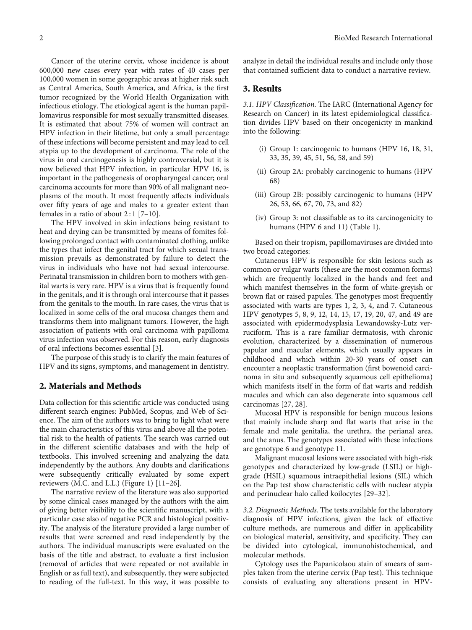Cancer of the uterine cervix, whose incidence is about 600,000 new cases every year with rates of 40 cases per 100,000 women in some geographic areas at higher risk such as Central America, South America, and Africa, is the first tumor recognized by the World Health Organization with infectious etiology. The etiological agent is the human papillomavirus responsible for most sexually transmitted diseases. It is estimated that about 75% of women will contract an HPV infection in their lifetime, but only a small percentage of these infections will become persistent and may lead to cell atypia up to the development of carcinoma. The role of the virus in oral carcinogenesis is highly controversial, but it is now believed that HPV infection, in particular HPV 16, is important in the pathogenesis of oropharyngeal cancer; oral carcinoma accounts for more than 90% of all malignant neoplasms of the mouth. It most frequently affects individuals over fifty years of age and males to a greater extent than females in a ratio of about  $2:1$  [[7](#page-7-0)-[10](#page-7-0)].

The HPV involved in skin infections being resistant to heat and drying can be transmitted by means of fomites following prolonged contact with contaminated clothing, unlike the types that infect the genital tract for which sexual transmission prevails as demonstrated by failure to detect the virus in individuals who have not had sexual intercourse. Perinatal transmission in children born to mothers with genital warts is very rare. HPV is a virus that is frequently found in the genitals, and it is through oral intercourse that it passes from the genitals to the mouth. In rare cases, the virus that is localized in some cells of the oral mucosa changes them and transforms them into malignant tumors. However, the high association of patients with oral carcinoma with papilloma virus infection was observed. For this reason, early diagnosis of oral infections becomes essential [\[3](#page-7-0)].

The purpose of this study is to clarify the main features of HPV and its signs, symptoms, and management in dentistry.

#### 2. Materials and Methods

Data collection for this scientific article was conducted using different search engines: PubMed, Scopus, and Web of Science. The aim of the authors was to bring to light what were the main characteristics of this virus and above all the potential risk to the health of patients. The search was carried out in the different scientific databases and with the help of textbooks. This involved screening and analyzing the data independently by the authors. Any doubts and clarifications were subsequently critically evaluated by some expert reviewers (M.C. and L.L.) (Figure [1](#page-2-0)) [[11](#page-7-0)–[26](#page-8-0)].

The narrative review of the literature was also supported by some clinical cases managed by the authors with the aim of giving better visibility to the scientific manuscript, with a particular case also of negative PCR and histological positivity. The analysis of the literature provided a large number of results that were screened and read independently by the authors. The individual manuscripts were evaluated on the basis of the title and abstract, to evaluate a first inclusion (removal of articles that were repeated or not available in English or as full text), and subsequently, they were subjected to reading of the full-text. In this way, it was possible to analyze in detail the individual results and include only those that contained sufficient data to conduct a narrative review.

#### 3. Results

3.1. HPV Classification. The IARC (International Agency for Research on Cancer) in its latest epidemiological classification divides HPV based on their oncogenicity in mankind into the following:

- (i) Group 1: carcinogenic to humans (HPV 16, 18, 31, 33, 35, 39, 45, 51, 56, 58, and 59)
- (ii) Group 2A: probably carcinogenic to humans (HPV 68)
- (iii) Group 2B: possibly carcinogenic to humans (HPV 26, 53, 66, 67, 70, 73, and 82)
- (iv) Group 3: not classifiable as to its carcinogenicity to humans (HPV 6 and 11) (Table [1\)](#page-3-0).

Based on their tropism, papillomaviruses are divided into two broad categories:

Cutaneous HPV is responsible for skin lesions such as common or vulgar warts (these are the most common forms) which are frequently localized in the hands and feet and which manifest themselves in the form of white-greyish or brown flat or raised papules. The genotypes most frequently associated with warts are types 1, 2, 3, 4, and 7. Cutaneous HPV genotypes 5, 8, 9, 12, 14, 15, 17, 19, 20, 47, and 49 are associated with epidermodysplasia Lewandowsky-Lutz verruciform. This is a rare familiar dermatosis, with chronic evolution, characterized by a dissemination of numerous papular and macular elements, which usually appears in childhood and which within 20-30 years of onset can encounter a neoplastic transformation (first bowenoid carcinoma in situ and subsequently squamous cell epithelioma) which manifests itself in the form of flat warts and reddish macules and which can also degenerate into squamous cell carcinomas [[27](#page-8-0), [28\]](#page-8-0).

Mucosal HPV is responsible for benign mucous lesions that mainly include sharp and flat warts that arise in the female and male genitalia, the urethra, the perianal area, and the anus. The genotypes associated with these infections are genotype 6 and genotype 11.

Malignant mucosal lesions were associated with high-risk genotypes and characterized by low-grade (LSIL) or highgrade (HSIL) squamous intraepithelial lesions (SIL) which on the Pap test show characteristic cells with nuclear atypia and perinuclear halo called koilocytes [[29](#page-8-0)–[32](#page-8-0)].

3.2. Diagnostic Methods. The tests available for the laboratory diagnosis of HPV infections, given the lack of effective culture methods, are numerous and differ in applicability on biological material, sensitivity, and specificity. They can be divided into cytological, immunohistochemical, and molecular methods.

Cytology uses the Papanicolaou stain of smears of samples taken from the uterine cervix (Pap test). This technique consists of evaluating any alterations present in HPV-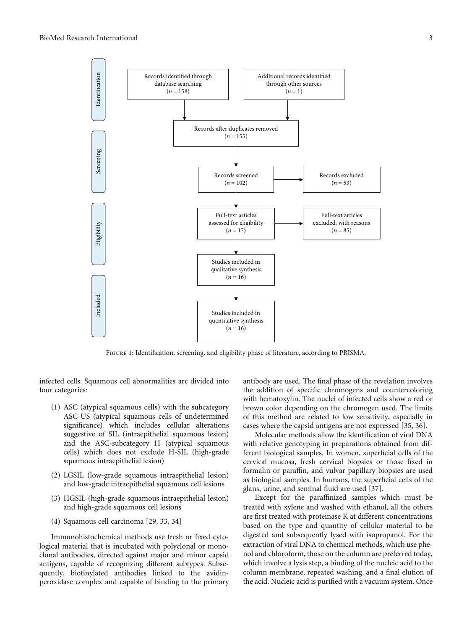<span id="page-2-0"></span>

Figure 1: Identification, screening, and eligibility phase of literature, according to PRISMA.

infected cells. Squamous cell abnormalities are divided into four categories:

- (1) ASC (atypical squamous cells) with the subcategory ASC-US (atypical squamous cells of undetermined significance) which includes cellular alterations suggestive of SIL (intraepithelial squamous lesion) and the ASC-subcategory H (atypical squamous cells) which does not exclude H-SIL (high-grade squamous intraepithelial lesion)
- (2) LGSIL (low-grade squamous intraepithelial lesion) and low-grade intraepithelial squamous cell lesions
- (3) HGSIL (high-grade squamous intraepithelial lesion) and high-grade squamous cell lesions
- (4) Squamous cell carcinoma [[29](#page-8-0), [33, 34](#page-8-0)]

Immunohistochemical methods use fresh or fixed cytological material that is incubated with polyclonal or monoclonal antibodies, directed against major and minor capsid antigens, capable of recognizing different subtypes. Subsequently, biotinylated antibodies linked to the avidinperoxidase complex and capable of binding to the primary antibody are used. The final phase of the revelation involves the addition of specific chromogens and countercoloring with hematoxylin. The nuclei of infected cells show a red or brown color depending on the chromogen used. The limits of this method are related to low sensitivity, especially in cases where the capsid antigens are not expressed [\[35, 36](#page-8-0)].

Molecular methods allow the identification of viral DNA with relative genotyping in preparations obtained from different biological samples. In women, superficial cells of the cervical mucosa, fresh cervical biopsies or those fixed in formalin or paraffin, and vulvar papillary biopsies are used as biological samples. In humans, the superficial cells of the glans, urine, and seminal fluid are used [[37\]](#page-8-0).

Except for the paraffinized samples which must be treated with xylene and washed with ethanol, all the others are first treated with proteinase K at different concentrations based on the type and quantity of cellular material to be digested and subsequently lysed with isopropanol. For the extraction of viral DNA to chemical methods, which use phenol and chloroform, those on the column are preferred today, which involve a lysis step, a binding of the nucleic acid to the column membrane, repeated washing, and a final elution of the acid. Nucleic acid is purified with a vacuum system. Once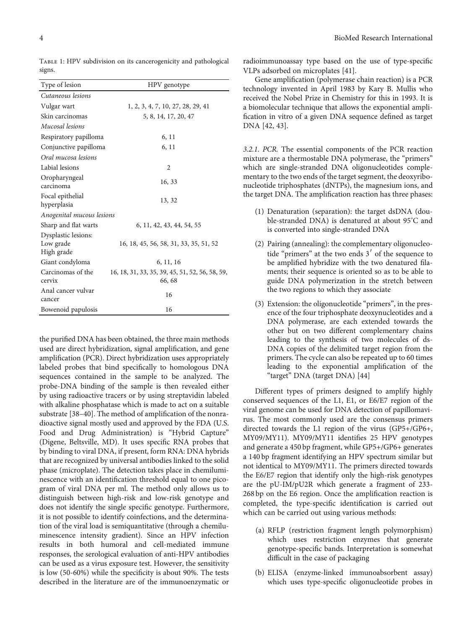Anal cancer vulvar

ancer valued 16 Bowenoid papulosis 16

Type of lesion HPV genotype Cutaneous lesions Vulgar wart 1, 2, 3, 4, 7, 10, 27, 28, 29, 41 Skin carcinomas 5, 8, 14, 17, 20, 47 Mucosal lesions Respiratory papilloma 6, 11 Conjunctive papilloma 6, 11 Oral mucosa lesions Labial lesions 2 Oropharyngeal Cropharyngear<br>
16, 33<br>
december 16, 33 Focal epithelial hyperplasia 13, 32<br>hyperplasia Anogenital mucous lesions Sharp and flat warts 6, 11, 42, 43, 44, 54, 55 Dysplastic lesions: Low grade High grade 16, 18, 45, 56, 58, 31, 33, 35, 51, 52 Giant condyloma 6, 11, 16 Carcinomas of the cervix 16, 18, 31, 33, 35, 39, 45, 51, 52, 56, 58, 59, 66, 68

<span id="page-3-0"></span>TABLE 1: HPV subdivision on its cancerogenicity and pathological signs.

the purified DNA has been obtained, the three main methods used are direct hybridization, signal amplification, and gene amplification (PCR). Direct hybridization uses appropriately labeled probes that bind specifically to homologous DNA sequences contained in the sample to be analyzed. The probe-DNA binding of the sample is then revealed either by using radioactive tracers or by using streptavidin labeled with alkaline phosphatase which is made to act on a suitable substrate [\[38](#page-8-0)–[40\]](#page-8-0). The method of amplification of the nonradioactive signal mostly used and approved by the FDA (U.S. Food and Drug Administration) is "Hybrid Capture" (Digene, Beltsville, MD). It uses specific RNA probes that by binding to viral DNA, if present, form RNA: DNA hybrids that are recognized by universal antibodies linked to the solid phase (microplate). The detection takes place in chemiluminescence with an identification threshold equal to one picogram of viral DNA per ml. The method only allows us to distinguish between high-risk and low-risk genotype and does not identify the single specific genotype. Furthermore, it is not possible to identify coinfections, and the determination of the viral load is semiquantitative (through a chemiluminescence intensity gradient). Since an HPV infection results in both humoral and cell-mediated immune responses, the serological evaluation of anti-HPV antibodies can be used as a virus exposure test. However, the sensitivity is low (50-60%) while the specificity is about 90%. The tests described in the literature are of the immunoenzymatic or

radioimmunoassay type based on the use of type-specific VLPs adsorbed on microplates [\[41\]](#page-8-0).

Gene amplification (polymerase chain reaction) is a PCR technology invented in April 1983 by Kary B. Mullis who received the Nobel Prize in Chemistry for this in 1993. It is a biomolecular technique that allows the exponential amplification in vitro of a given DNA sequence defined as target DNA [[42](#page-8-0), [43\]](#page-8-0).

3.2.1. PCR. The essential components of the PCR reaction mixture are a thermostable DNA polymerase, the "primers" which are single-stranded DNA oligonucleotides complementary to the two ends of the target segment, the deoxyribonucleotide triphosphates (dNTPs), the magnesium ions, and the target DNA. The amplification reaction has three phases:

- (1) Denaturation (separation): the target dsDNA (double-stranded DNA) is denatured at about 95° C and is converted into single-stranded DNA
- (2) Pairing (annealing): the complementary oligonucleotide "primers" at the two ends  $3'$  of the sequence to be amplified hybridize with the two denatured filaments; their sequence is oriented so as to be able to guide DNA polymerization in the stretch between the two regions to which they associate
- (3) Extension: the oligonucleotide "primers", in the presence of the four triphosphate deoxynucleotides and a DNA polymerase, are each extended towards the other but on two different complementary chains leading to the synthesis of two molecules of ds-DNA copies of the delimited target region from the primers. The cycle can also be repeated up to 60 times leading to the exponential amplification of the "target" DNA (target DNA) [[44](#page-8-0)]

Different types of primers designed to amplify highly conserved sequences of the L1, E1, or E6/E7 region of the viral genome can be used for DNA detection of papillomavirus. The most commonly used are the consensus primers directed towards the L1 region of the virus (GP5+/GP6+, MY09/MY11). MY09/MY11 identifies 25 HPV genotypes and generate a 450 bp fragment, while GP5+/GP6+ generates a 140 bp fragment identifying an HPV spectrum similar but not identical to MY09/MY11. The primers directed towards the E6/E7 region that identify only the high-risk genotypes are the pU-IM/pU2R which generate a fragment of 233- 268 bp on the E6 region. Once the amplification reaction is completed, the type-specific identification is carried out which can be carried out using various methods:

- (a) RFLP (restriction fragment length polymorphism) which uses restriction enzymes that generate genotype-specific bands. Interpretation is somewhat difficult in the case of packaging
- (b) ELISA (enzyme-linked immunoabsorbent assay) which uses type-specific oligonucleotide probes in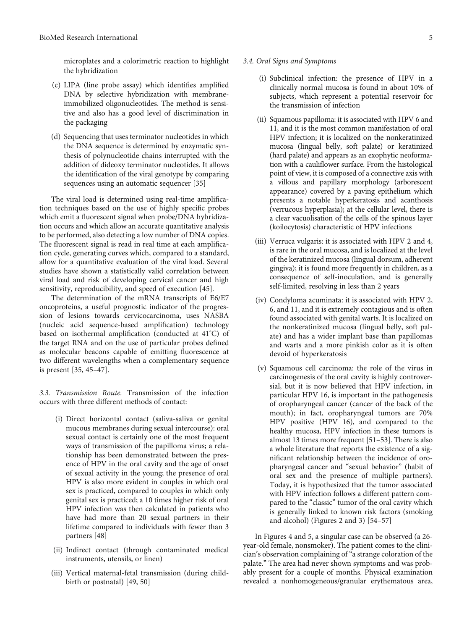microplates and a colorimetric reaction to highlight the hybridization

- (c) LIPA (line probe assay) which identifies amplified DNA by selective hybridization with membraneimmobilized oligonucleotides. The method is sensitive and also has a good level of discrimination in the packaging
- (d) Sequencing that uses terminator nucleotides in which the DNA sequence is determined by enzymatic synthesis of polynucleotide chains interrupted with the addition of dideoxy terminator nucleotides. It allows the identification of the viral genotype by comparing sequences using an automatic sequencer [[35](#page-8-0)]

The viral load is determined using real-time amplification techniques based on the use of highly specific probes which emit a fluorescent signal when probe/DNA hybridization occurs and which allow an accurate quantitative analysis to be performed, also detecting a low number of DNA copies. The fluorescent signal is read in real time at each amplification cycle, generating curves which, compared to a standard, allow for a quantitative evaluation of the viral load. Several studies have shown a statistically valid correlation between viral load and risk of developing cervical cancer and high sensitivity, reproducibility, and speed of execution [[45\]](#page-8-0).

The determination of the mRNA transcripts of E6/E7 oncoproteins, a useful prognostic indicator of the progression of lesions towards cervicocarcinoma, uses NASBA (nucleic acid sequence-based amplification) technology based on isothermal amplification (conducted at 41°C) of the target RNA and on the use of particular probes defined as molecular beacons capable of emitting fluorescence at two different wavelengths when a complementary sequence is present [\[35, 45](#page-8-0)–[47](#page-8-0)].

3.3. Transmission Route. Transmission of the infection occurs with three different methods of contact:

- (i) Direct horizontal contact (saliva-saliva or genital mucous membranes during sexual intercourse): oral sexual contact is certainly one of the most frequent ways of transmission of the papilloma virus; a relationship has been demonstrated between the presence of HPV in the oral cavity and the age of onset of sexual activity in the young; the presence of oral HPV is also more evident in couples in which oral sex is practiced, compared to couples in which only genital sex is practiced; a 10 times higher risk of oral HPV infection was then calculated in patients who have had more than 20 sexual partners in their lifetime compared to individuals with fewer than 3 partners [\[48\]](#page-8-0)
- (ii) Indirect contact (through contaminated medical instruments, utensils, or linen)
- (iii) Vertical maternal-fetal transmission (during childbirth or postnatal) [[49](#page-8-0), [50\]](#page-8-0)

#### 3.4. Oral Signs and Symptoms

- (i) Subclinical infection: the presence of HPV in a clinically normal mucosa is found in about 10% of subjects, which represent a potential reservoir for the transmission of infection
- (ii) Squamous papilloma: it is associated with HPV 6 and 11, and it is the most common manifestation of oral HPV infection; it is localized on the nonkeratinized mucosa (lingual belly, soft palate) or keratinized (hard palate) and appears as an exophytic neoformation with a cauliflower surface. From the histological point of view, it is composed of a connective axis with a villous and papillary morphology (arborescent appearance) covered by a paving epithelium which presents a notable hyperkeratosis and acanthosis (verrucous hyperplasia); at the cellular level, there is a clear vacuolisation of the cells of the spinous layer (koilocytosis) characteristic of HPV infections
- (iii) Verruca vulgaris: it is associated with HPV 2 and 4, is rare in the oral mucosa, and is localized at the level of the keratinized mucosa (lingual dorsum, adherent gingiva); it is found more frequently in children, as a consequence of self-inoculation, and is generally self-limited, resolving in less than 2 years
- (iv) Condyloma acuminata: it is associated with HPV 2, 6, and 11, and it is extremely contagious and is often found associated with genital warts. It is localized on the nonkeratinized mucosa (lingual belly, soft palate) and has a wider implant base than papillomas and warts and a more pinkish color as it is often devoid of hyperkeratosis
- (v) Squamous cell carcinoma: the role of the virus in carcinogenesis of the oral cavity is highly controversial, but it is now believed that HPV infection, in particular HPV 16, is important in the pathogenesis of oropharyngeal cancer (cancer of the back of the mouth); in fact, oropharyngeal tumors are 70% HPV positive (HPV 16), and compared to the healthy mucosa, HPV infection in these tumors is almost 13 times more frequent [[51](#page-9-0)–[53](#page-9-0)]. There is also a whole literature that reports the existence of a significant relationship between the incidence of oropharyngeal cancer and "sexual behavior" (habit of oral sex and the presence of multiple partners). Today, it is hypothesized that the tumor associated with HPV infection follows a different pattern compared to the "classic" tumor of the oral cavity which is generally linked to known risk factors (smoking and alcohol) (Figures [2](#page-5-0) and [3\)](#page-5-0) [\[54](#page-9-0)–[57\]](#page-9-0)

In Figures [4](#page-5-0) and [5](#page-5-0), a singular case can be observed (a 26 year-old female, nonsmoker). The patient comes to the clinician's observation complaining of"a strange coloration of the palate." The area had never shown symptoms and was probably present for a couple of months. Physical examination revealed a nonhomogeneous/granular erythematous area,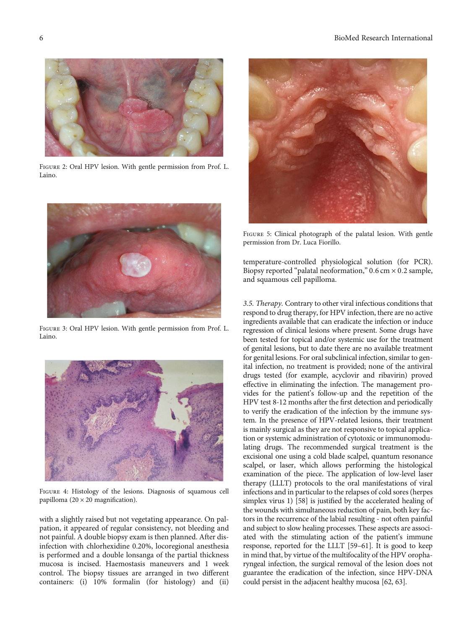<span id="page-5-0"></span>

Figure 2: Oral HPV lesion. With gentle permission from Prof. L. Laino.



Figure 3: Oral HPV lesion. With gentle permission from Prof. L. Laino.



Figure 4: Histology of the lesions. Diagnosis of squamous cell papilloma  $(20 \times 20$  magnification).

with a slightly raised but not vegetating appearance. On palpation, it appeared of regular consistency, not bleeding and not painful. A double biopsy exam is then planned. After disinfection with chlorhexidine 0.20%, locoregional anesthesia is performed and a double lonsanga of the partial thickness mucosa is incised. Haemostasis maneuvers and 1 week control. The biopsy tissues are arranged in two different containers: (i) 10% formalin (for histology) and (ii)



Figure 5: Clinical photograph of the palatal lesion. With gentle permission from Dr. Luca Fiorillo.

temperature-controlled physiological solution (for PCR). Biopsy reported "palatal neoformation," 0*:*6 cm × 0*:*2 sample, and squamous cell papilloma.

3.5. Therapy. Contrary to other viral infectious conditions that respond to drug therapy, for HPV infection, there are no active ingredients available that can eradicate the infection or induce regression of clinical lesions where present. Some drugs have been tested for topical and/or systemic use for the treatment of genital lesions, but to date there are no available treatment for genital lesions. For oral subclinical infection, similar to genital infection, no treatment is provided; none of the antiviral drugs tested (for example, acyclovir and ribavirin) proved effective in eliminating the infection. The management provides for the patient's follow-up and the repetition of the HPV test 8-12 months after the first detection and periodically to verify the eradication of the infection by the immune system. In the presence of HPV-related lesions, their treatment is mainly surgical as they are not responsive to topical application or systemic administration of cytotoxic or immunomodulating drugs. The recommended surgical treatment is the excisional one using a cold blade scalpel, quantum resonance scalpel, or laser, which allows performing the histological examination of the piece. The application of low-level laser therapy (LLLT) protocols to the oral manifestations of viral infections and in particular to the relapses of cold sores (herpes simplex virus 1) [[58](#page-9-0)] is justified by the accelerated healing of the wounds with simultaneous reduction of pain, both key factors in the recurrence of the labial resulting - not often painful and subject to slow healing processes. These aspects are associated with the stimulating action of the patient's immune response, reported for the LLLT [\[59](#page-9-0)–[61\]](#page-9-0). It is good to keep in mind that, by virtue of the multifocality of the HPV oropharyngeal infection, the surgical removal of the lesion does not guarantee the eradication of the infection, since HPV-DNA could persist in the adjacent healthy mucosa [\[62, 63\]](#page-9-0).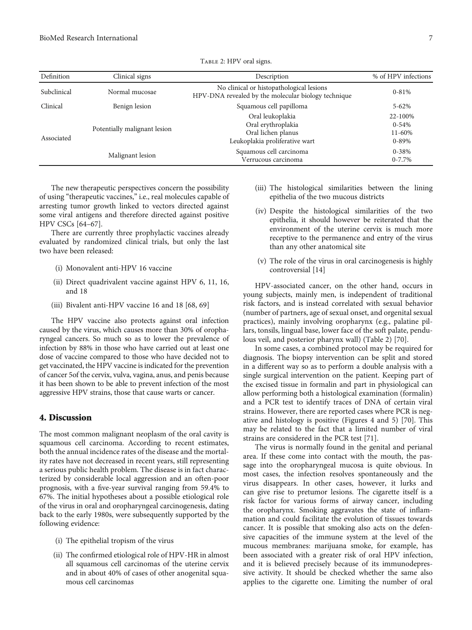| Definition  | Clinical signs               | Description                                                                                     | % of HPV infections                          |
|-------------|------------------------------|-------------------------------------------------------------------------------------------------|----------------------------------------------|
| Subclinical | Normal mucosae               | No clinical or histopathological lesions<br>HPV-DNA revealed by the molecular biology technique | $0 - 81\%$                                   |
| Clinical    | Benign lesion                | Squamous cell papilloma                                                                         | $5 - 62\%$                                   |
| Associated  | Potentially malignant lesion | Oral leukoplakia<br>Oral erythroplakia<br>Oral lichen planus<br>Leukoplakia proliferative wart  | 22-100%<br>$0 - 54%$<br>11-60%<br>$0 - 89\%$ |
|             | Malignant lesion             | Squamous cell carcinoma<br>Verrucous carcinoma                                                  | $0 - 38%$<br>$0 - 7.7\%$                     |

TABLE 2: HPV oral signs.

The new therapeutic perspectives concern the possibility of using "therapeutic vaccines," i.e., real molecules capable of arresting tumor growth linked to vectors directed against some viral antigens and therefore directed against positive HPV CSCs [[64](#page-9-0)–[67\]](#page-9-0).

There are currently three prophylactic vaccines already evaluated by randomized clinical trials, but only the last two have been released:

- (i) Monovalent anti-HPV 16 vaccine
- (ii) Direct quadrivalent vaccine against HPV 6, 11, 16, and 18
- (iii) Bivalent anti-HPV vaccine 16 and 18 [[68](#page-9-0), [69\]](#page-9-0)

The HPV vaccine also protects against oral infection caused by the virus, which causes more than 30% of oropharyngeal cancers. So much so as to lower the prevalence of infection by 88% in those who have carried out at least one dose of vaccine compared to those who have decided not to get vaccinated, the HPV vaccine is indicated for the prevention of cancer 5of the cervix, vulva, vagina, anus, and penis because it has been shown to be able to prevent infection of the most aggressive HPV strains, those that cause warts or cancer.

#### 4. Discussion

The most common malignant neoplasm of the oral cavity is squamous cell carcinoma. According to recent estimates, both the annual incidence rates of the disease and the mortality rates have not decreased in recent years, still representing a serious public health problem. The disease is in fact characterized by considerable local aggression and an often-poor prognosis, with a five-year survival ranging from 59.4% to 67%. The initial hypotheses about a possible etiological role of the virus in oral and oropharyngeal carcinogenesis, dating back to the early 1980s, were subsequently supported by the following evidence:

- (i) The epithelial tropism of the virus
- (ii) The confirmed etiological role of HPV-HR in almost all squamous cell carcinomas of the uterine cervix and in about 40% of cases of other anogenital squamous cell carcinomas
- (iii) The histological similarities between the lining epithelia of the two mucous districts
- (iv) Despite the histological similarities of the two epithelia, it should however be reiterated that the environment of the uterine cervix is much more receptive to the permanence and entry of the virus than any other anatomical site
- (v) The role of the virus in oral carcinogenesis is highly controversial [[14](#page-7-0)]

HPV-associated cancer, on the other hand, occurs in young subjects, mainly men, is independent of traditional risk factors, and is instead correlated with sexual behavior (number of partners, age of sexual onset, and orgenital sexual practices), mainly involving oropharynx (e.g., palatine pillars, tonsils, lingual base, lower face of the soft palate, pendulous veil, and posterior pharynx wall) (Table 2) [\[70\]](#page-9-0).

In some cases, a combined protocol may be required for diagnosis. The biopsy intervention can be split and stored in a different way so as to perform a double analysis with a single surgical intervention on the patient. Keeping part of the excised tissue in formalin and part in physiological can allow performing both a histological examination (formalin) and a PCR test to identify traces of DNA of certain viral strains. However, there are reported cases where PCR is negative and histology is positive (Figures [4](#page-5-0) and [5\)](#page-5-0) [\[70\]](#page-9-0). This may be related to the fact that a limited number of viral strains are considered in the PCR test [[71\]](#page-9-0).

The virus is normally found in the genital and perianal area. If these come into contact with the mouth, the passage into the oropharyngeal mucosa is quite obvious. In most cases, the infection resolves spontaneously and the virus disappears. In other cases, however, it lurks and can give rise to pretumor lesions. The cigarette itself is a risk factor for various forms of airway cancer, including the oropharynx. Smoking aggravates the state of inflammation and could facilitate the evolution of tissues towards cancer. It is possible that smoking also acts on the defensive capacities of the immune system at the level of the mucous membranes: marijuana smoke, for example, has been associated with a greater risk of oral HPV infection, and it is believed precisely because of its immunodepressive activity. It should be checked whether the same also applies to the cigarette one. Limiting the number of oral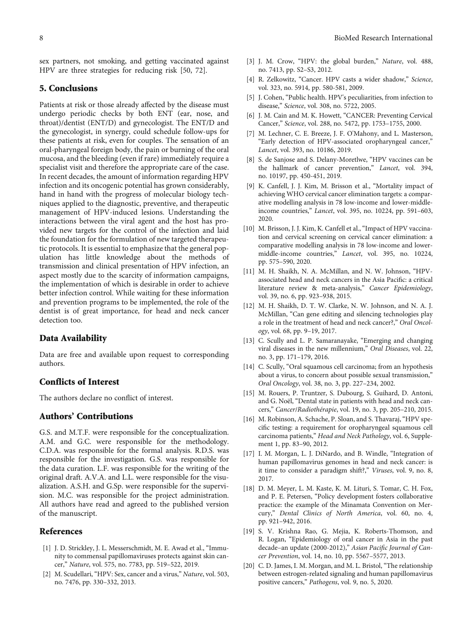<span id="page-7-0"></span>sex partners, not smoking, and getting vaccinated against HPV are three strategies for reducing risk [\[50](#page-8-0), [72\]](#page-9-0).

## 5. Conclusions

Patients at risk or those already affected by the disease must undergo periodic checks by both ENT (ear, nose, and throat)/dentist (ENT/D) and gynecologist. The ENT/D and the gynecologist, in synergy, could schedule follow-ups for these patients at risk, even for couples. The sensation of an oral-pharyngeal foreign body, the pain or burning of the oral mucosa, and the bleeding (even if rare) immediately require a specialist visit and therefore the appropriate care of the case. In recent decades, the amount of information regarding HPV infection and its oncogenic potential has grown considerably, hand in hand with the progress of molecular biology techniques applied to the diagnostic, preventive, and therapeutic management of HPV-induced lesions. Understanding the interactions between the viral agent and the host has provided new targets for the control of the infection and laid the foundation for the formulation of new targeted therapeutic protocols. It is essential to emphasize that the general population has little knowledge about the methods of transmission and clinical presentation of HPV infection, an aspect mostly due to the scarcity of information campaigns, the implementation of which is desirable in order to achieve better infection control. While waiting for these information and prevention programs to be implemented, the role of the dentist is of great importance, for head and neck cancer detection too.

#### Data Availability

Data are free and available upon request to corresponding authors.

#### Conflicts of Interest

The authors declare no conflict of interest.

# Authors' Contributions

G.S. and M.T.F. were responsible for the conceptualization. A.M. and G.C. were responsible for the methodology. C.D.A. was responsible for the formal analysis. R.D.S. was responsible for the investigation. G.S. was responsible for the data curation. L.F. was responsible for the writing of the original draft. A.V.A. and L.L. were responsible for the visualization. A.S.H. and G.Sp. were responsible for the supervision. M.C. was responsible for the project administration. All authors have read and agreed to the published version of the manuscript.

## References

- [1] J. D. Strickley, J. L. Messerschmidt, M. E. Awad et al., "Immunity to commensal papillomaviruses protects against skin cancer," Nature, vol. 575, no. 7783, pp. 519–522, 2019.
- [2] M. Scudellari, "HPV: Sex, cancer and a virus," Nature, vol. 503, no. 7476, pp. 330–332, 2013.
- [3] J. M. Crow, "HPV: the global burden," Nature, vol. 488, no. 7413, pp. S2–S3, 2012.
- [4] R. Zelkowitz, "Cancer. HPV casts a wider shadow," Science, vol. 323, no. 5914, pp. 580-581, 2009.
- [5] J. Cohen, "Public health. HPV's peculiarities, from infection to disease," Science, vol. 308, no. 5722, 2005.
- [6] J. M. Cain and M. K. Howett, "CANCER: Preventing Cervical Cancer," Science, vol. 288, no. 5472, pp. 1753–1755, 2000.
- [7] M. Lechner, C. E. Breeze, J. F. O'Mahony, and L. Masterson, "Early detection of HPV-associated oropharyngeal cancer," Lancet, vol. 393, no. 10186, 2019.
- [8] S. de Sanjose and S. Delany-Moretlwe, "HPV vaccines can be the hallmark of cancer prevention," Lancet, vol. 394, no. 10197, pp. 450-451, 2019.
- [9] K. Canfell, J. J. Kim, M. Brisson et al., "Mortality impact of achieving WHO cervical cancer elimination targets: a comparative modelling analysis in 78 low-income and lower-middleincome countries," Lancet, vol. 395, no. 10224, pp. 591–603, 2020.
- [10] M. Brisson, J. J. Kim, K. Canfell et al., "Impact of HPV vaccination and cervical screening on cervical cancer elimination: a comparative modelling analysis in 78 low-income and lowermiddle-income countries," Lancet, vol. 395, no. 10224, pp. 575–590, 2020.
- [11] M. H. Shaikh, N. A. McMillan, and N. W. Johnson, "HPVassociated head and neck cancers in the Asia Pacific: a critical literature review & meta-analysis," Cancer Epidemiology, vol. 39, no. 6, pp. 923–938, 2015.
- [12] M. H. Shaikh, D. T. W. Clarke, N. W. Johnson, and N. A. J. McMillan, "Can gene editing and silencing technologies play a role in the treatment of head and neck cancer?," Oral Oncology, vol. 68, pp. 9–19, 2017.
- [13] C. Scully and L. P. Samaranayake, "Emerging and changing viral diseases in the new millennium," Oral Diseases, vol. 22, no. 3, pp. 171–179, 2016.
- [14] C. Scully, "Oral squamous cell carcinoma; from an hypothesis about a virus, to concern about possible sexual transmission," Oral Oncology, vol. 38, no. 3, pp. 227–234, 2002.
- [15] M. Rouers, P. Truntzer, S. Dubourg, S. Guihard, D. Antoni, and G. Noël, "Dental state in patients with head and neck cancers," Cancer/Radiothérapie, vol. 19, no. 3, pp. 205–210, 2015.
- [16] M. Robinson, A. Schache, P. Sloan, and S. Thavaraj, "HPV specific testing: a requirement for oropharyngeal squamous cell carcinoma patients," Head and Neck Pathology, vol. 6, Supplement 1, pp. 83–90, 2012.
- [17] I. M. Morgan, L. J. DiNardo, and B. Windle, "Integration of human papillomavirus genomes in head and neck cancer: is it time to consider a paradigm shift?," Viruses, vol. 9, no. 8, 2017.
- [18] D. M. Meyer, L. M. Kaste, K. M. Lituri, S. Tomar, C. H. Fox, and P. E. Petersen, "Policy development fosters collaborative practice: the example of the Minamata Convention on Mercury," Dental Clinics of North America, vol. 60, no. 4, pp. 921–942, 2016.
- [19] S. V. Krishna Rao, G. Mejia, K. Roberts-Thomson, and R. Logan, "Epidemiology of oral cancer in Asia in the past decade–an update (2000-2012)," Asian Pacific Journal of Cancer Prevention, vol. 14, no. 10, pp. 5567–5577, 2013.
- [20] C. D. James, I. M. Morgan, and M. L. Bristol, "The relationship between estrogen-related signaling and human papillomavirus positive cancers," Pathogens, vol. 9, no. 5, 2020.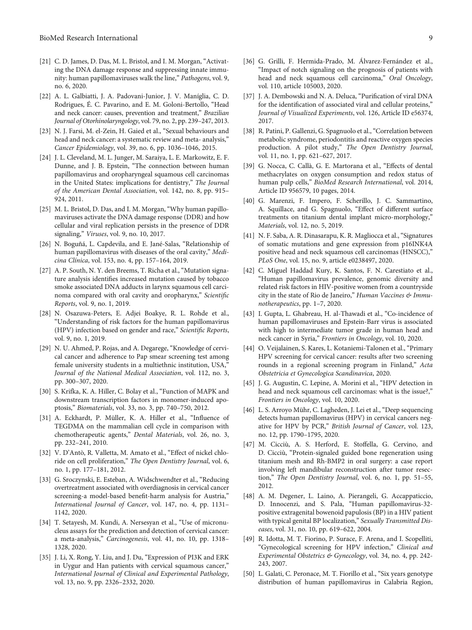- <span id="page-8-0"></span>[21] C. D. James, D. Das, M. L. Bristol, and I. M. Morgan, "Activating the DNA damage response and suppressing innate immunity: human papillomaviruses walk the line," Pathogens, vol. 9, no. 6, 2020.
- [22] A. L. Galbiatti, J. A. Padovani-Junior, J. V. Maníglia, C. D. Rodrigues, É. C. Pavarino, and E. M. Goloni-Bertollo, "Head and neck cancer: causes, prevention and treatment," Brazilian Journal of Otorhinolaryngology, vol. 79, no. 2, pp. 239–247, 2013.
- [23] N. J. Farsi, M. el-Zein, H. Gaied et al., "Sexual behaviours and head and neck cancer: a systematic review and meta- analysis," Cancer Epidemiology, vol. 39, no. 6, pp. 1036–1046, 2015.
- [24] J. L. Cleveland, M. L. Junger, M. Saraiya, L. E. Markowitz, E. F. Dunne, and J. B. Epstein, "The connection between human papillomavirus and oropharyngeal squamous cell carcinomas in the United States: implications for dentistry," The Journal of the American Dental Association, vol. 142, no. 8, pp. 915– 924, 2011.
- [25] M. L. Bristol, D. Das, and I. M. Morgan, "Why human papillomaviruses activate the DNA damage response (DDR) and how cellular and viral replication persists in the presence of DDR signaling," Viruses, vol. 9, no. 10, 2017.
- [26] N. Boguñá, L. Capdevila, and E. Jané-Salas, "Relationship of human papillomavirus with diseases of the oral cavity," Medicina Clínica, vol. 153, no. 4, pp. 157–164, 2019.
- [27] A. P. South, N. Y. den Breems, T. Richa et al., "Mutation signature analysis identifies increased mutation caused by tobacco smoke associated DNA adducts in larynx squamous cell carcinoma compared with oral cavity and oropharynx," Scientific Reports, vol. 9, no. 1, 2019.
- [28] N. Osazuwa-Peters, E. Adjei Boakye, R. L. Rohde et al., "Understanding of risk factors for the human papillomavirus (HPV) infection based on gender and race," Scientific Reports, vol. 9, no. 1, 2019.
- [29] N. U. Ahmed, P. Rojas, and A. Degarege, "Knowledge of cervical cancer and adherence to Pap smear screening test among female university students in a multiethnic institution, USA," Journal of the National Medical Association, vol. 112, no. 3, pp. 300–307, 2020.
- [30] S. Krifka, K. A. Hiller, C. Bolay et al., "Function of MAPK and downstream transcription factors in monomer-induced apoptosis," Biomaterials, vol. 33, no. 3, pp. 740–750, 2012.
- [31] A. Eckhardt, P. Müller, K. A. Hiller et al., "Influence of TEGDMA on the mammalian cell cycle in comparison with chemotherapeutic agents," Dental Materials, vol. 26, no. 3, pp. 232–241, 2010.
- [32] V. D'Antò, R. Valletta, M. Amato et al., "Effect of nickel chloride on cell proliferation," The Open Dentistry Journal, vol. 6, no. 1, pp. 177–181, 2012.
- [33] G. Sroczynski, E. Esteban, A. Widschwendter et al., "Reducing overtreatment associated with overdiagnosis in cervical cancer screening-a model-based benefit-harm analysis for Austria," International Journal of Cancer, vol. 147, no. 4, pp. 1131– 1142, 2020.
- [34] T. Setayesh, M. Kundi, A. Nersesyan et al., "Use of micronucleus assays for the prediction and detection of cervical cancer: a meta-analysis," Carcinogenesis, vol. 41, no. 10, pp. 1318– 1328, 2020.
- [35] J. Li, X. Rong, Y. Liu, and J. Du, "Expression of PI3K and ERK in Uygur and Han patients with cervical squamous cancer," International Journal of Clinical and Experimental Pathology, vol. 13, no. 9, pp. 2326–2332, 2020.
- [36] G. Grilli, F. Hermida-Prado, M. Álvarez-Fernández et al., "Impact of notch signaling on the prognosis of patients with
- vol. 110, article 105003, 2020. [37] J. A. Dembowski and N. A. Deluca, "Purification of viral DNA for the identification of associated viral and cellular proteins," Journal of Visualized Experiments, vol. 126, Article ID e56374,

head and neck squamous cell carcinoma," Oral Oncology,

[38] R. Patini, P. Gallenzi, G. Spagnuolo et al., "Correlation between metabolic syndrome, periodontitis and reactive oxygen species production. A pilot study," The Open Dentistry Journal, vol. 11, no. 1, pp. 621–627, 2017.

2017.

- [39] G. Nocca, C. Callà, G. E. Martorana et al., "Effects of dental methacrylates on oxygen consumption and redox status of human pulp cells," BioMed Research International, vol. 2014, Article ID 956579, 10 pages, 2014.
- [40] G. Marenzi, F. Impero, F. Scherillo, J. C. Sammartino, A. Squillace, and G. Spagnuolo, "Effect of different surface treatments on titanium dental implant micro-morphology," Materials, vol. 12, no. 5, 2019.
- [41] N. F. Saba, A. R. Dinasarapu, K. R. Magliocca et al., "Signatures of somatic mutations and gene expression from p16INK4A positive head and neck squamous cell carcinomas (HNSCC)," PLoS One, vol. 15, no. 9, article e0238497, 2020.
- [42] C. Miguel Haddad Kury, K. Santos, F. N. Carestiato et al., "Human papillomavirus prevalence, genomic diversity and related risk factors in HIV-positive women from a countryside city in the state of Rio de Janeiro," Human Vaccines & Immunotherapeutics, pp. 1–7, 2020.
- [43] I. Gupta, L. Ghabreau, H. al-Thawadi et al., "Co-incidence of human papillomaviruses and Epstein-Barr virus is associated with high to intermediate tumor grade in human head and neck cancer in Syria," Frontiers in Oncology, vol. 10, 2020.
- [44] O. Veijalainen, S. Kares, L. Kotaniemi-Talonen et al., "Primary HPV screening for cervical cancer: results after two screening rounds in a regional screening program in Finland," Acta Obstetricia et Gynecologica Scandinavica, 2020.
- [45] J. G. Augustin, C. Lepine, A. Morini et al., "HPV detection in head and neck squamous cell carcinomas: what is the issue?," Frontiers in Oncology, vol. 10, 2020.
- [46] L. S. Arroyo Mühr, C. Lagheden, J. Lei et al., "Deep sequencing detects human papillomavirus (HPV) in cervical cancers negative for HPV by PCR," British Journal of Cancer, vol. 123, no. 12, pp. 1790–1795, 2020.
- [47] M. Cicciù, A. S. Herford, E. Stoffella, G. Cervino, and D. Cicciù, "Protein-signaled guided bone regeneration using titanium mesh and Rh-BMP2 in oral surgery: a case report involving left mandibular reconstruction after tumor resection," The Open Dentistry Journal, vol. 6, no. 1, pp. 51–55, 2012.
- [48] A. M. Degener, L. Laino, A. Pierangeli, G. Accappaticcio, D. Innocenzi, and S. Pala, "Human papillomavirus-32 positive extragenital bowenoid papulosis (BP) in a HIV patient with typical genital BP localization," Sexually Transmitted Diseases, vol. 31, no. 10, pp. 619–622, 2004.
- [49] R. Idotta, M. T. Fiorino, P. Surace, F. Arena, and I. Scopelliti, "Gynecological screening for HPV infection," Clinical and Experimental Obstetrics & Gynecology, vol. 34, no. 4, pp. 242- 243, 2007.
- [50] L. Galati, C. Peronace, M. T. Fiorillo et al., "Six years genotype distribution of human papillomavirus in Calabria Region,